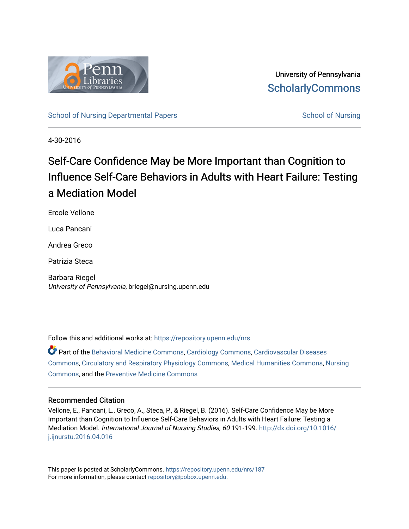

University of Pennsylvania **ScholarlyCommons** 

[School of Nursing Departmental Papers](https://repository.upenn.edu/nrs) [School of Nursing](https://repository.upenn.edu/nursing) School of Nursing

4-30-2016

# Self-Care Confidence May be More Important than Cognition to Influence Self-Care Behaviors in Adults with Heart Failure: Testing a Mediation Model

Ercole Vellone

Luca Pancani

Andrea Greco

Patrizia Steca

Barbara Riegel University of Pennsylvania, briegel@nursing.upenn.edu

Follow this and additional works at: [https://repository.upenn.edu/nrs](https://repository.upenn.edu/nrs?utm_source=repository.upenn.edu%2Fnrs%2F187&utm_medium=PDF&utm_campaign=PDFCoverPages) 

Part of the [Behavioral Medicine Commons](http://network.bepress.com/hgg/discipline/1405?utm_source=repository.upenn.edu%2Fnrs%2F187&utm_medium=PDF&utm_campaign=PDFCoverPages), [Cardiology Commons,](http://network.bepress.com/hgg/discipline/683?utm_source=repository.upenn.edu%2Fnrs%2F187&utm_medium=PDF&utm_campaign=PDFCoverPages) [Cardiovascular Diseases](http://network.bepress.com/hgg/discipline/929?utm_source=repository.upenn.edu%2Fnrs%2F187&utm_medium=PDF&utm_campaign=PDFCoverPages)  [Commons](http://network.bepress.com/hgg/discipline/929?utm_source=repository.upenn.edu%2Fnrs%2F187&utm_medium=PDF&utm_campaign=PDFCoverPages), [Circulatory and Respiratory Physiology Commons,](http://network.bepress.com/hgg/discipline/947?utm_source=repository.upenn.edu%2Fnrs%2F187&utm_medium=PDF&utm_campaign=PDFCoverPages) [Medical Humanities Commons](http://network.bepress.com/hgg/discipline/1303?utm_source=repository.upenn.edu%2Fnrs%2F187&utm_medium=PDF&utm_campaign=PDFCoverPages), [Nursing](http://network.bepress.com/hgg/discipline/718?utm_source=repository.upenn.edu%2Fnrs%2F187&utm_medium=PDF&utm_campaign=PDFCoverPages)  [Commons](http://network.bepress.com/hgg/discipline/718?utm_source=repository.upenn.edu%2Fnrs%2F187&utm_medium=PDF&utm_campaign=PDFCoverPages), and the [Preventive Medicine Commons](http://network.bepress.com/hgg/discipline/703?utm_source=repository.upenn.edu%2Fnrs%2F187&utm_medium=PDF&utm_campaign=PDFCoverPages) 

#### Recommended Citation

Vellone, E., Pancani, L., Greco, A., Steca, P., & Riegel, B. (2016). Self-Care Confidence May be More Important than Cognition to Influence Self-Care Behaviors in Adults with Heart Failure: Testing a Mediation Model. International Journal of Nursing Studies, 60 191-199. [http://dx.doi.org/10.1016/](http://dx.doi.org/10.1016/j.ijnurstu.2016.04.016) [j.ijnurstu.2016.04.016](http://dx.doi.org/10.1016/j.ijnurstu.2016.04.016) 

This paper is posted at ScholarlyCommons.<https://repository.upenn.edu/nrs/187> For more information, please contact [repository@pobox.upenn.edu.](mailto:repository@pobox.upenn.edu)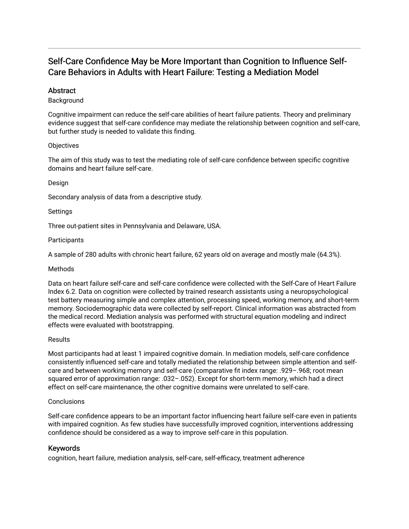# Self-Care Confidence May be More Important than Cognition to Influence Self-Care Behaviors in Adults with Heart Failure: Testing a Mediation Model

## **Abstract**

#### Background

Cognitive impairment can reduce the self-care abilities of heart failure patients. Theory and preliminary evidence suggest that self-care confidence may mediate the relationship between cognition and self-care, but further study is needed to validate this finding.

#### **Objectives**

The aim of this study was to test the mediating role of self-care confidence between specific cognitive domains and heart failure self-care.

#### Design

Secondary analysis of data from a descriptive study.

#### Settings

Three out-patient sites in Pennsylvania and Delaware, USA.

#### **Participants**

A sample of 280 adults with chronic heart failure, 62 years old on average and mostly male (64.3%).

#### Methods

Data on heart failure self-care and self-care confidence were collected with the Self-Care of Heart Failure Index 6.2. Data on cognition were collected by trained research assistants using a neuropsychological test battery measuring simple and complex attention, processing speed, working memory, and short-term memory. Sociodemographic data were collected by self-report. Clinical information was abstracted from the medical record. Mediation analysis was performed with structural equation modeling and indirect effects were evaluated with bootstrapping.

#### **Results**

Most participants had at least 1 impaired cognitive domain. In mediation models, self-care confidence consistently influenced self-care and totally mediated the relationship between simple attention and selfcare and between working memory and self-care (comparative fit index range: .929–.968; root mean squared error of approximation range: .032–.052). Except for short-term memory, which had a direct effect on self-care maintenance, the other cognitive domains were unrelated to self-care.

#### **Conclusions**

Self-care confidence appears to be an important factor influencing heart failure self-care even in patients with impaired cognition. As few studies have successfully improved cognition, interventions addressing confidence should be considered as a way to improve self-care in this population.

#### Keywords

cognition, heart failure, mediation analysis, self-care, self-efficacy, treatment adherence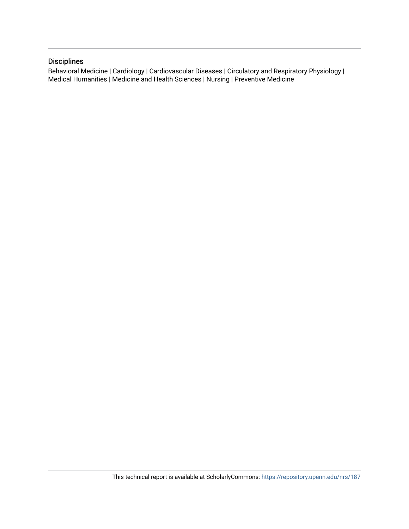## Disciplines

Behavioral Medicine | Cardiology | Cardiovascular Diseases | Circulatory and Respiratory Physiology | Medical Humanities | Medicine and Health Sciences | Nursing | Preventive Medicine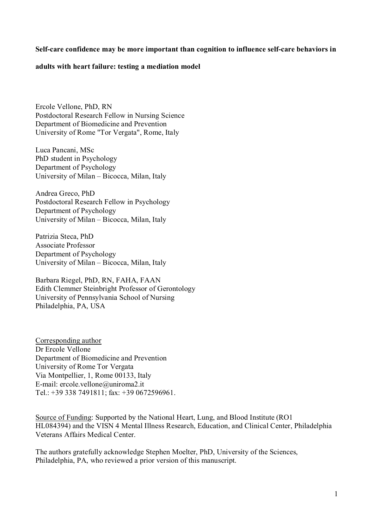## **Self-care confidence may be more important than cognition to influence self-care behaviors in**

#### **adults with heart failure: testing a mediation model**

Ercole Vellone, PhD, RN Postdoctoral Research Fellow in Nursing Science Department of Biomedicine and Prevention University of Rome "Tor Vergata", Rome, Italy

Luca Pancani, MSc PhD student in Psychology Department of Psychology University of Milan – Bicocca, Milan, Italy

Andrea Greco, PhD Postdoctoral Research Fellow in Psychology Department of Psychology University of Milan – Bicocca, Milan, Italy

Patrizia Steca, PhD Associate Professor Department of Psychology University of Milan – Bicocca, Milan, Italy

Barbara Riegel, PhD, RN, FAHA, FAAN Edith Clemmer Steinbright Professor of Gerontology University of Pennsylvania School of Nursing Philadelphia, PA, USA

Corresponding author Dr Ercole Vellone Department of Biomedicine and Prevention University of Rome Tor Vergata Via Montpellier, 1, Rome 00133, Italy E-mail: [ercole.vellone@uniroma2.it](mailto:ercole.vellone@uniroma2.it) Tel.: +39 338 7491811; fax: +39 0672596961.

Source of Funding: Supported by the National Heart, Lung, and Blood Institute (RO1 HL084394) and the VISN 4 Mental Illness Research, Education, and Clinical Center, Philadelphia Veterans Affairs Medical Center.

The authors gratefully acknowledge Stephen Moelter, PhD, University of the Sciences, Philadelphia, PA, who reviewed a prior version of this manuscript.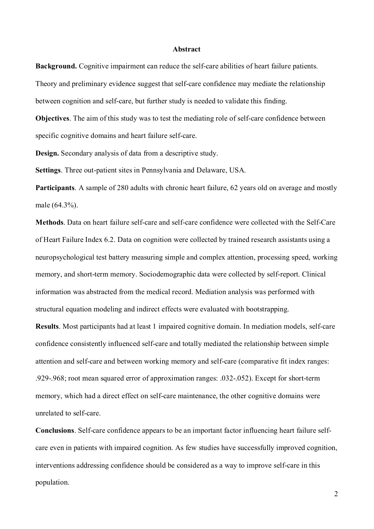#### **Abstract**

**Background.** Cognitive impairment can reduce the self-care abilities of heart failure patients. Theory and preliminary evidence suggest that self-care confidence may mediate the relationship between cognition and self-care, but further study is needed to validate this finding.

**Objectives**. The aim of this study was to test the mediating role of self-care confidence between specific cognitive domains and heart failure self-care.

**Design.** Secondary analysis of data from a descriptive study.

**Settings**. Three out-patient sites in Pennsylvania and Delaware, USA.

**Participants**. A sample of 280 adults with chronic heart failure, 62 years old on average and mostly male (64.3%).

**Methods**. Data on heart failure self-care and self-care confidence were collected with the Self-Care of Heart Failure Index 6.2. Data on cognition were collected by trained research assistants using a neuropsychological test battery measuring simple and complex attention, processing speed, working memory, and short-term memory. Sociodemographic data were collected by self-report. Clinical information was abstracted from the medical record. Mediation analysis was performed with structural equation modeling and indirect effects were evaluated with bootstrapping.

**Results**. Most participants had at least 1 impaired cognitive domain. In mediation models, self-care confidence consistently influenced self-care and totally mediated the relationship between simple attention and self-care and between working memory and self-care (comparative fit index ranges: .929-.968; root mean squared error of approximation ranges: .032-.052). Except for short-term memory, which had a direct effect on self-care maintenance, the other cognitive domains were unrelated to self-care.

**Conclusions**. Self-care confidence appears to be an important factor influencing heart failure selfcare even in patients with impaired cognition. As few studies have successfully improved cognition, interventions addressing confidence should be considered as a way to improve self-care in this population.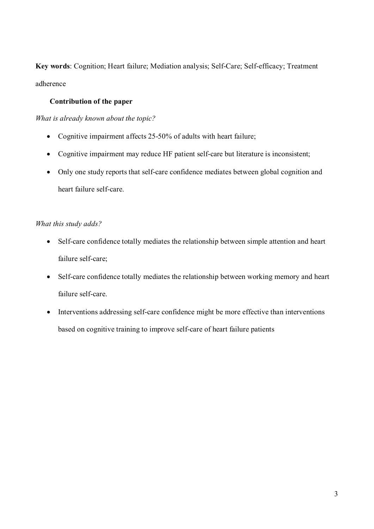**Key words**: Cognition; Heart failure; Mediation analysis; Self-Care; Self-efficacy; Treatment adherence

## **Contribution of the paper**

*What is already known about the topic?*

- Cognitive impairment affects 25-50% of adults with heart failure;
- Cognitive impairment may reduce HF patient self-care but literature is inconsistent;
- Only one study reports that self-care confidence mediates between global cognition and heart failure self-care.

# *What this study adds?*

- Self-care confidence totally mediates the relationship between simple attention and heart failure self-care;
- Self-care confidence totally mediates the relationship between working memory and heart failure self-care.
- Interventions addressing self-care confidence might be more effective than interventions based on cognitive training to improve self-care of heart failure patients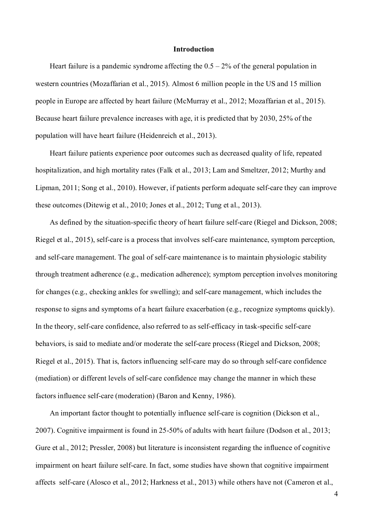#### **Introduction**

Heart failure is a pandemic syndrome affecting the  $0.5 - 2%$  of the general population in western countries (Mozaffarian et al., 2015). Almost 6 million people in the US and 15 million people in Europe are affected by heart failure (McMurray et al., 2012; Mozaffarian et al., 2015). Because heart failure prevalence increases with age, it is predicted that by 2030, 25% of the population will have heart failure (Heidenreich et al., 2013).

Heart failure patients experience poor outcomes such as decreased quality of life, repeated hospitalization, and high mortality rates (Falk et al., 2013; Lam and Smeltzer, 2012; Murthy and Lipman, 2011; Song et al., 2010). However, if patients perform adequate self-care they can improve these outcomes (Ditewig et al., 2010; Jones et al., 2012; Tung et al., 2013).

As defined by the situation-specific theory of heart failure self-care (Riegel and Dickson, 2008; Riegel et al., 2015), self-care is a process that involves self-care maintenance, symptom perception, and self-care management. The goal of self-care maintenance is to maintain physiologic stability through treatment adherence (e.g., medication adherence); symptom perception involves monitoring for changes (e.g., checking ankles for swelling); and self-care management, which includes the response to signs and symptoms of a heart failure exacerbation (e.g., recognize symptoms quickly). In the theory, self-care confidence, also referred to as self-efficacy in task-specific self-care behaviors, is said to mediate and/or moderate the self-care process (Riegel and Dickson, 2008; Riegel et al., 2015). That is, factors influencing self-care may do so through self-care confidence (mediation) or different levels of self-care confidence may change the manner in which these factors influence self-care (moderation) (Baron and Kenny, 1986).

An important factor thought to potentially influence self-care is cognition (Dickson et al., 2007). Cognitive impairment is found in 25-50% of adults with heart failure (Dodson et al., 2013; Gure et al., 2012; Pressler, 2008) but literature is inconsistent regarding the influence of cognitive impairment on heart failure self-care. In fact, some studies have shown that cognitive impairment affects self-care (Alosco et al., 2012; Harkness et al., 2013) while others have not (Cameron et al.,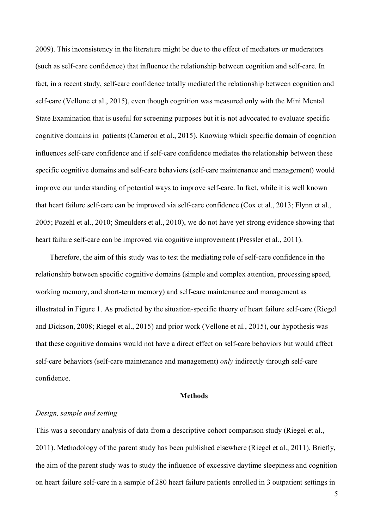2009). This inconsistency in the literature might be due to the effect of mediators or moderators (such as self-care confidence) that influence the relationship between cognition and self-care. In fact, in a recent study, self-care confidence totally mediated the relationship between cognition and self-care (Vellone et al., 2015), even though cognition was measured only with the Mini Mental State Examination that is useful for screening purposes but it is not advocated to evaluate specific cognitive domains in patients (Cameron et al., 2015). Knowing which specific domain of cognition influences self-care confidence and if self-care confidence mediates the relationship between these specific cognitive domains and self-care behaviors (self-care maintenance and management) would improve our understanding of potential ways to improve self-care. In fact, while it is well known that heart failure self-care can be improved via self-care confidence (Cox et al., 2013; Flynn et al., 2005; Pozehl et al., 2010; Smeulders et al., 2010), we do not have yet strong evidence showing that heart failure self-care can be improved via cognitive improvement (Pressler et al., 2011).

Therefore, the aim of this study was to test the mediating role of self-care confidence in the relationship between specific cognitive domains (simple and complex attention, processing speed, working memory, and short-term memory) and self-care maintenance and management as illustrated in Figure 1. As predicted by the situation-specific theory of heart failure self-care (Riegel and Dickson, 2008; Riegel et al., 2015) and prior work (Vellone et al., 2015), our hypothesis was that these cognitive domains would not have a direct effect on self-care behaviors but would affect self-care behaviors (self-care maintenance and management) *only* indirectly through self-care confidence.

## **Methods**

#### *Design, sample and setting*

This was a secondary analysis of data from a descriptive cohort comparison study (Riegel et al., 2011). Methodology of the parent study has been published elsewhere (Riegel et al., 2011). Briefly, the aim of the parent study was to study the influence of excessive daytime sleepiness and cognition on heart failure self-care in a sample of 280 heart failure patients enrolled in 3 outpatient settings in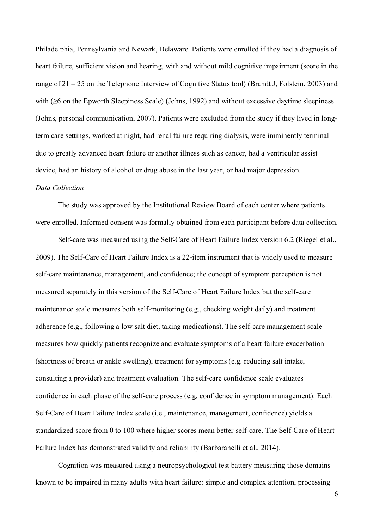Philadelphia, Pennsylvania and Newark, Delaware. Patients were enrolled if they had a diagnosis of heart failure, sufficient vision and hearing, with and without mild cognitive impairment (score in the range of 21 – 25 on the Telephone Interview of Cognitive Status tool) (Brandt J, Folstein, 2003) and with (≥6 on the Epworth Sleepiness Scale) (Johns, 1992) and without excessive daytime sleepiness (Johns, personal communication, 2007). Patients were excluded from the study if they lived in longterm care settings, worked at night, had renal failure requiring dialysis, were imminently terminal due to greatly advanced heart failure or another illness such as cancer, had a ventricular assist device, had an history of alcohol or drug abuse in the last year, or had major depression.

## *Data Collection*

The study was approved by the Institutional Review Board of each center where patients were enrolled. Informed consent was formally obtained from each participant before data collection.

Self-care was measured using the Self-Care of Heart Failure Index version 6.2 (Riegel et al., 2009). The Self-Care of Heart Failure Index is a 22-item instrument that is widely used to measure self-care maintenance, management, and confidence; the concept of symptom perception is not measured separately in this version of the Self-Care of Heart Failure Index but the self-care maintenance scale measures both self-monitoring (e.g., checking weight daily) and treatment adherence (e.g., following a low salt diet, taking medications). The self-care management scale measures how quickly patients recognize and evaluate symptoms of a heart failure exacerbation (shortness of breath or ankle swelling), treatment for symptoms (e.g. reducing salt intake, consulting a provider) and treatment evaluation. The self-care confidence scale evaluates confidence in each phase of the self-care process (e.g. confidence in symptom management). Each Self-Care of Heart Failure Index scale (i.e., maintenance, management, confidence) yields a standardized score from 0 to 100 where higher scores mean better self-care. The Self-Care of Heart Failure Index has demonstrated validity and reliability (Barbaranelli et al., 2014).

Cognition was measured using a neuropsychological test battery measuring those domains known to be impaired in many adults with heart failure: simple and complex attention, processing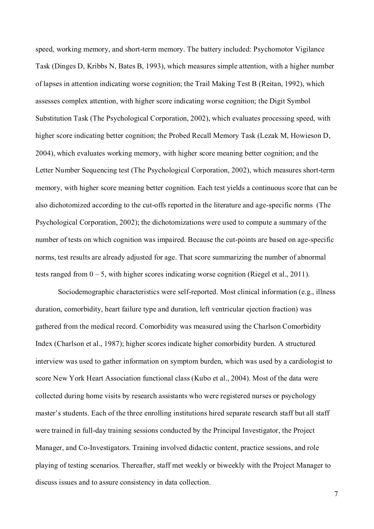speed, working memory, and short-term memory. The battery included: Psychomotor Vigilance Task (Dinges D, Kribbs N, Bates B, 1993), which measures simple attention, with a higher number of lapses in attention indicating worse cognition; the Trail Making Test B (Reitan, 1992), which assesses complex attention, with higher score indicating worse cognition; the Digit Symbol Substitution Task (The Psychological Corporation, 2002), which evaluates processing speed, with higher score indicating better cognition; the Probed Recall Memory Task (Lezak M, Howieson D, 2004), which evaluates working memory, with higher score meaning better cognition; and the Letter Number Sequencing test (The Psychological Corporation, 2002), which measures short-term memory, with higher score meaning better cognition. Each test yields a continuous score that can be also dichotomized according to the cut-offs reported in the literature and age-specific norms (The Psychological Corporation, 2002); the dichotomizations were used to compute a summary of the number of tests on which cognition was impaired. Because the cut-points are based on age-specific norms, test results are already adjusted for age. That score summarizing the number of abnormal tests ranged from  $0 - 5$ , with higher scores indicating worse cognition (Riegel et al., 2011).

Sociodemographic characteristics were self-reported. Most clinical information (e.g., illness duration, comorbidity, heart failure type and duration, left ventricular ejection fraction) was gathered from the medical record. Comorbidity was measured using the Charlson Comorbidity Index (Charlson et al., 1987); higher scores indicate higher comorbidity burden. A structured interview was used to gather information on symptom burden, which was used by a cardiologist to score New York Heart Association functional class (Kubo et al., 2004). Most of the data were collected during home visits by research assistants who were registered nurses or psychology master's students. Each of the three enrolling institutions hired separate research staff but all staff were trained in full-day training sessions conducted by the Principal Investigator, the Project Manager, and Co-Investigators. Training involved didactic content, practice sessions, and role playing of testing scenarios. Thereafter, staff met weekly or biweekly with the Project Manager to discuss issues and to assure consistency in data collection.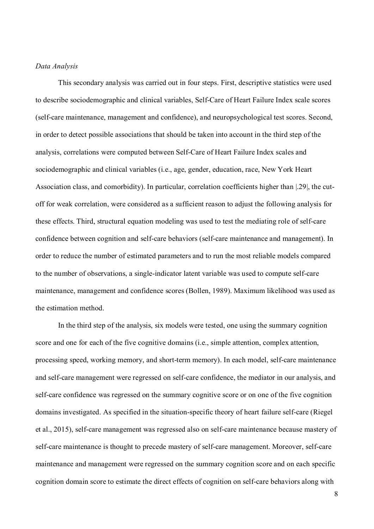#### *Data Analysis*

This secondary analysis was carried out in four steps. First, descriptive statistics were used to describe sociodemographic and clinical variables, Self-Care of Heart Failure Index scale scores (self-care maintenance, management and confidence), and neuropsychological test scores. Second, in order to detect possible associations that should be taken into account in the third step of the analysis, correlations were computed between Self-Care of Heart Failure Index scales and sociodemographic and clinical variables (i.e., age, gender, education, race, New York Heart Association class, and comorbidity). In particular, correlation coefficients higher than |.29|, the cutoff for weak correlation, were considered as a sufficient reason to adjust the following analysis for these effects. Third, structural equation modeling was used to test the mediating role of self-care confidence between cognition and self-care behaviors (self-care maintenance and management). In order to reduce the number of estimated parameters and to run the most reliable models compared to the number of observations, a single-indicator latent variable was used to compute self-care maintenance, management and confidence scores (Bollen, 1989). Maximum likelihood was used as the estimation method.

In the third step of the analysis, six models were tested, one using the summary cognition score and one for each of the five cognitive domains (i.e., simple attention, complex attention, processing speed, working memory, and short-term memory). In each model, self-care maintenance and self-care management were regressed on self-care confidence, the mediator in our analysis, and self-care confidence was regressed on the summary cognitive score or on one of the five cognition domains investigated. As specified in the situation-specific theory of heart failure self-care (Riegel et al., 2015), self-care management was regressed also on self-care maintenance because mastery of self-care maintenance is thought to precede mastery of self-care management. Moreover, self-care maintenance and management were regressed on the summary cognition score and on each specific cognition domain score to estimate the direct effects of cognition on self-care behaviors along with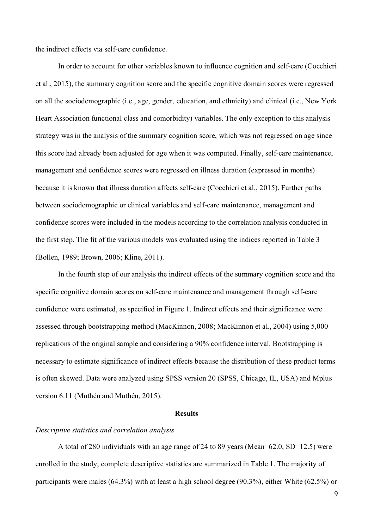the indirect effects via self-care confidence.

In order to account for other variables known to influence cognition and self-care (Cocchieri et al., 2015), the summary cognition score and the specific cognitive domain scores were regressed on all the sociodemographic (i.e., age, gender, education, and ethnicity) and clinical (i.e., New York Heart Association functional class and comorbidity) variables. The only exception to this analysis strategy was in the analysis of the summary cognition score, which was not regressed on age since this score had already been adjusted for age when it was computed. Finally, self-care maintenance, management and confidence scores were regressed on illness duration (expressed in months) because it is known that illness duration affects self-care (Cocchieri et al., 2015). Further paths between sociodemographic or clinical variables and self-care maintenance, management and confidence scores were included in the models according to the correlation analysis conducted in the first step. The fit of the various models was evaluated using the indices reported in Table 3 (Bollen, 1989; Brown, 2006; Kline, 2011).

In the fourth step of our analysis the indirect effects of the summary cognition score and the specific cognitive domain scores on self-care maintenance and management through self-care confidence were estimated, as specified in Figure 1. Indirect effects and their significance were assessed through bootstrapping method (MacKinnon, 2008; MacKinnon et al., 2004) using 5,000 replications of the original sample and considering a 90% confidence interval. Bootstrapping is necessary to estimate significance of indirect effects because the distribution of these product terms is often skewed. Data were analyzed using SPSS version 20 (SPSS, Chicago, IL, USA) and Mplus version 6.11 (Muthén and Muthén, 2015).

#### **Results**

#### *Descriptive statistics and correlation analysis*

A total of 280 individuals with an age range of 24 to 89 years (Mean=62.0, SD=12.5) were enrolled in the study; complete descriptive statistics are summarized in Table 1. The majority of participants were males (64.3%) with at least a high school degree (90.3%), either White (62.5%) or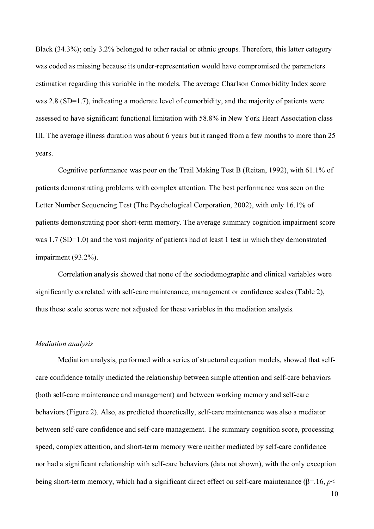Black (34.3%); only 3.2% belonged to other racial or ethnic groups. Therefore, this latter category was coded as missing because its under-representation would have compromised the parameters estimation regarding this variable in the models. The average Charlson Comorbidity Index score was 2.8 (SD=1.7), indicating a moderate level of comorbidity, and the majority of patients were assessed to have significant functional limitation with 58.8% in New York Heart Association class III. The average illness duration was about 6 years but it ranged from a few months to more than 25 years.

Cognitive performance was poor on the Trail Making Test B (Reitan, 1992), with 61.1% of patients demonstrating problems with complex attention. The best performance was seen on the Letter Number Sequencing Test (The Psychological Corporation, 2002), with only 16.1% of patients demonstrating poor short-term memory. The average summary cognition impairment score was 1.7 (SD=1.0) and the vast majority of patients had at least 1 test in which they demonstrated impairment (93.2%).

Correlation analysis showed that none of the sociodemographic and clinical variables were significantly correlated with self-care maintenance, management or confidence scales (Table 2), thus these scale scores were not adjusted for these variables in the mediation analysis.

#### *Mediation analysis*

Mediation analysis, performed with a series of structural equation models, showed that selfcare confidence totally mediated the relationship between simple attention and self-care behaviors (both self-care maintenance and management) and between working memory and self-care behaviors (Figure 2). Also, as predicted theoretically, self-care maintenance was also a mediator between self-care confidence and self-care management. The summary cognition score, processing speed, complex attention, and short-term memory were neither mediated by self-care confidence nor had a significant relationship with self-care behaviors (data not shown), with the only exception being short-term memory, which had a significant direct effect on self-care maintenance (β=.16, *p*<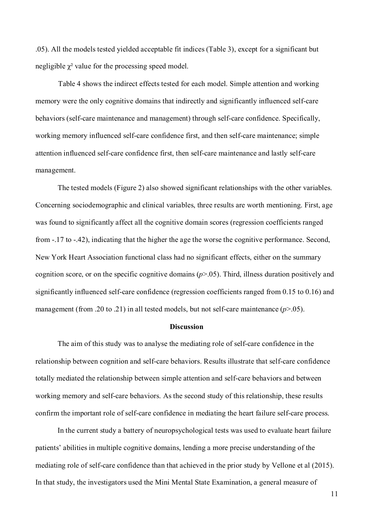.05). All the models tested yielded acceptable fit indices (Table 3), except for a significant but negligible  $\chi^2$  value for the processing speed model.

Table 4 shows the indirect effects tested for each model. Simple attention and working memory were the only cognitive domains that indirectly and significantly influenced self-care behaviors (self-care maintenance and management) through self-care confidence. Specifically, working memory influenced self-care confidence first, and then self-care maintenance; simple attention influenced self-care confidence first, then self-care maintenance and lastly self-care management.

The tested models (Figure 2) also showed significant relationships with the other variables. Concerning sociodemographic and clinical variables, three results are worth mentioning. First, age was found to significantly affect all the cognitive domain scores (regression coefficients ranged from -.17 to -.42), indicating that the higher the age the worse the cognitive performance. Second, New York Heart Association functional class had no significant effects, either on the summary cognition score, or on the specific cognitive domains (*p*>.05). Third, illness duration positively and significantly influenced self-care confidence (regression coefficients ranged from 0.15 to 0.16) and management (from .20 to .21) in all tested models, but not self-care maintenance ( $p$ >.05).

## **Discussion**

The aim of this study was to analyse the mediating role of self-care confidence in the relationship between cognition and self-care behaviors. Results illustrate that self-care confidence totally mediated the relationship between simple attention and self-care behaviors and between working memory and self-care behaviors. As the second study of this relationship, these results confirm the important role of self-care confidence in mediating the heart failure self-care process.

In the current study a battery of neuropsychological tests was used to evaluate heart failure patients' abilities in multiple cognitive domains, lending a more precise understanding of the mediating role of self-care confidence than that achieved in the prior study by Vellone et al (2015). In that study, the investigators used the Mini Mental State Examination, a general measure of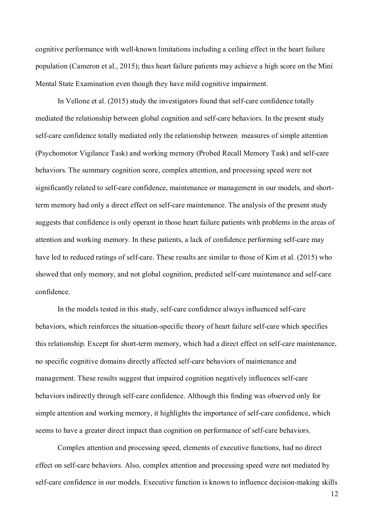cognitive performance with well-known limitations including a ceiling effect in the heart failure population (Cameron et al., 2015); thus heart failure patients may achieve a high score on the Mini Mental State Examination even though they have mild cognitive impairment.

In Vellone et al. (2015) study the investigators found that self-care confidence totally mediated the relationship between global cognition and self-care behaviors. In the present study self-care confidence totally mediated only the relationship between measures of simple attention (Psychomotor Vigilance Task) and working memory (Probed Recall Memory Task) and self-care behaviors. The summary cognition score, complex attention, and processing speed were not significantly related to self-care confidence, maintenance or management in our models, and shortterm memory had only a direct effect on self-care maintenance. The analysis of the present study suggests that confidence is only operant in those heart failure patients with problems in the areas of attention and working memory. In these patients, a lack of confidence performing self-care may have led to reduced ratings of self-care. These results are similar to those of Kim et al. (2015) who showed that only memory, and not global cognition, predicted self-care maintenance and self-care confidence.

In the models tested in this study, self-care confidence always influenced self-care behaviors, which reinforces the situation-specific theory of heart failure self-care which specifies this relationship. Except for short-term memory, which had a direct effect on self-care maintenance, no specific cognitive domains directly affected self-care behaviors of maintenance and management. These results suggest that impaired cognition negatively influences self-care behaviors indirectly through self-care confidence. Although this finding was observed only for simple attention and working memory, it highlights the importance of self-care confidence, which seems to have a greater direct impact than cognition on performance of self-care behaviors.

Complex attention and processing speed, elements of executive functions, had no direct effect on self-care behaviors. Also, complex attention and processing speed were not mediated by self-care confidence in our models. Executive function is known to influence decision-making skills

12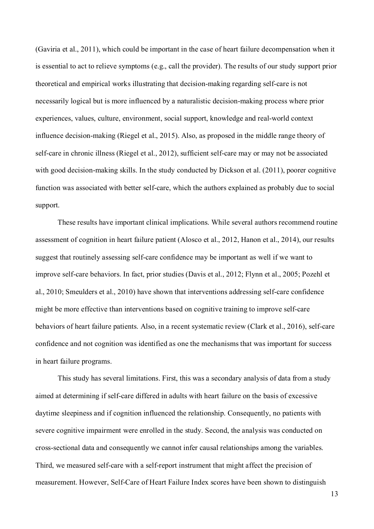(Gaviria et al., 2011), which could be important in the case of heart failure decompensation when it is essential to act to relieve symptoms (e.g., call the provider). The results of our study support prior theoretical and empirical works illustrating that decision-making regarding self-care is not necessarily logical but is more influenced by a naturalistic decision-making process where prior experiences, values, culture, environment, social support, knowledge and real-world context influence decision-making (Riegel et al., 2015). Also, as proposed in the middle range theory of self-care in chronic illness (Riegel et al., 2012), sufficient self-care may or may not be associated with good decision-making skills. In the study conducted by Dickson et al. (2011), poorer cognitive function was associated with better self-care, which the authors explained as probably due to social support.

These results have important clinical implications. While several authors recommend routine assessment of cognition in heart failure patient (Alosco et al., 2012, Hanon et al., 2014), our results suggest that routinely assessing self-care confidence may be important as well if we want to improve self-care behaviors. In fact, prior studies (Davis et al., 2012; Flynn et al., 2005; Pozehl et al., 2010; Smeulders et al., 2010) have shown that interventions addressing self-care confidence might be more effective than interventions based on cognitive training to improve self-care behaviors of heart failure patients. Also, in a recent systematic review (Clark et al., 2016), self-care confidence and not cognition was identified as one the mechanisms that was important for success in heart failure programs.

This study has several limitations. First, this was a secondary analysis of data from a study aimed at determining if self-care differed in adults with heart failure on the basis of excessive daytime sleepiness and if cognition influenced the relationship. Consequently, no patients with severe cognitive impairment were enrolled in the study. Second, the analysis was conducted on cross-sectional data and consequently we cannot infer causal relationships among the variables. Third, we measured self-care with a self-report instrument that might affect the precision of measurement. However, Self-Care of Heart Failure Index scores have been shown to distinguish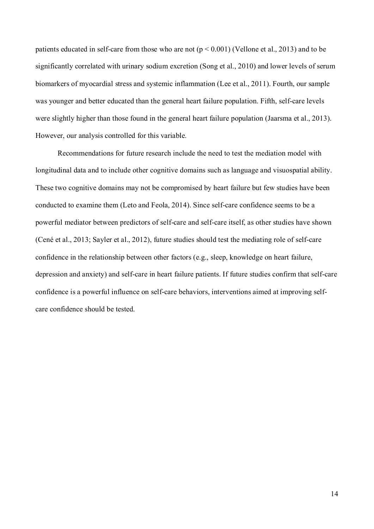patients educated in self-care from those who are not  $(p < 0.001)$  (Vellone et al., 2013) and to be significantly correlated with urinary sodium excretion (Song et al., 2010) and lower levels of serum biomarkers of myocardial stress and systemic inflammation (Lee et al., 2011). Fourth, our sample was younger and better educated than the general heart failure population. Fifth, self-care levels were slightly higher than those found in the general heart failure population (Jaarsma et al., 2013). However, our analysis controlled for this variable.

Recommendations for future research include the need to test the mediation model with longitudinal data and to include other cognitive domains such as language and visuospatial ability. These two cognitive domains may not be compromised by heart failure but few studies have been conducted to examine them (Leto and Feola, 2014). Since self-care confidence seems to be a powerful mediator between predictors of self-care and self-care itself, as other studies have shown (Cené et al., 2013; Sayler et al., 2012), future studies should test the mediating role of self-care confidence in the relationship between other factors (e.g., sleep, knowledge on heart failure, depression and anxiety) and self-care in heart failure patients. If future studies confirm that self-care confidence is a powerful influence on self-care behaviors, interventions aimed at improving selfcare confidence should be tested.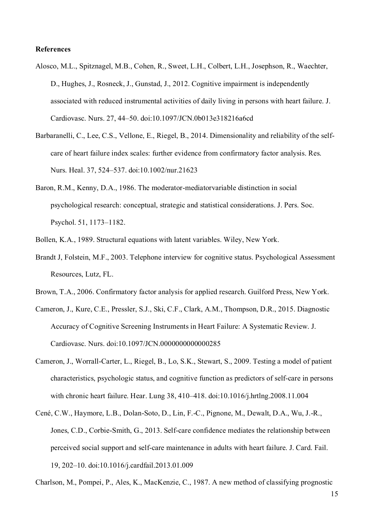#### **References**

- Alosco, M.L., Spitznagel, M.B., Cohen, R., Sweet, L.H., Colbert, L.H., Josephson, R., Waechter, D., Hughes, J., Rosneck, J., Gunstad, J., 2012. Cognitive impairment is independently associated with reduced instrumental activities of daily living in persons with heart failure. J. Cardiovasc. Nurs. 27, 44–50. doi:10.1097/JCN.0b013e318216a6cd
- Barbaranelli, C., Lee, C.S., Vellone, E., Riegel, B., 2014. Dimensionality and reliability of the selfcare of heart failure index scales: further evidence from confirmatory factor analysis. Res. Nurs. Heal. 37, 524–537. doi:10.1002/nur.21623
- Baron, R.M., Kenny, D.A., 1986. The moderator-mediatorvariable distinction in social psychological research: conceptual, strategic and statistical considerations. J. Pers. Soc. Psychol. 51, 1173–1182.
- Bollen, K.A., 1989. Structural equations with latent variables. Wiley, New York.
- Brandt J, Folstein, M.F., 2003. Telephone interview for cognitive status. Psychological Assessment Resources, Lutz, FL.
- Brown, T.A., 2006. Confirmatory factor analysis for applied research. Guilford Press, New York.
- Cameron, J., Kure, C.E., Pressler, S.J., Ski, C.F., Clark, A.M., Thompson, D.R., 2015. Diagnostic Accuracy of Cognitive Screening Instruments in Heart Failure: A Systematic Review. J. Cardiovasc. Nurs. doi:10.1097/JCN.0000000000000285
- Cameron, J., Worrall-Carter, L., Riegel, B., Lo, S.K., Stewart, S., 2009. Testing a model of patient characteristics, psychologic status, and cognitive function as predictors of self-care in persons with chronic heart failure. Hear. Lung 38, 410–418. doi:10.1016/j.hrtlng.2008.11.004
- Cené, C.W., Haymore, L.B., Dolan-Soto, D., Lin, F.-C., Pignone, M., Dewalt, D.A., Wu, J.-R., Jones, C.D., Corbie-Smith, G., 2013. Self-care confidence mediates the relationship between perceived social support and self-care maintenance in adults with heart failure. J. Card. Fail. 19, 202–10. doi:10.1016/j.cardfail.2013.01.009

Charlson, M., Pompei, P., Ales, K., MacKenzie, C., 1987. A new method of classifying prognostic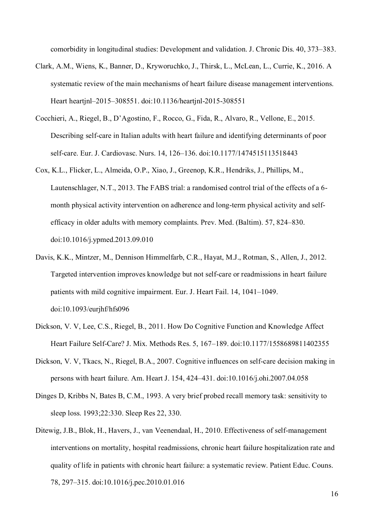comorbidity in longitudinal studies: Development and validation. J. Chronic Dis. 40, 373–383.

- Clark, A.M., Wiens, K., Banner, D., Kryworuchko, J., Thirsk, L., McLean, L., Currie, K., 2016. A systematic review of the main mechanisms of heart failure disease management interventions. Heart heartjnl–2015–308551. doi:10.1136/heartjnl-2015-308551
- Cocchieri, A., Riegel, B., D'Agostino, F., Rocco, G., Fida, R., Alvaro, R., Vellone, E., 2015. Describing self-care in Italian adults with heart failure and identifying determinants of poor self-care. Eur. J. Cardiovasc. Nurs. 14, 126–136. doi:10.1177/1474515113518443
- Cox, K.L., Flicker, L., Almeida, O.P., Xiao, J., Greenop, K.R., Hendriks, J., Phillips, M., Lautenschlager, N.T., 2013. The FABS trial: a randomised control trial of the effects of a 6 month physical activity intervention on adherence and long-term physical activity and selfefficacy in older adults with memory complaints. Prev. Med. (Baltim). 57, 824–830. doi:10.1016/j.ypmed.2013.09.010
- Davis, K.K., Mintzer, M., Dennison Himmelfarb, C.R., Hayat, M.J., Rotman, S., Allen, J., 2012. Targeted intervention improves knowledge but not self-care or readmissions in heart failure patients with mild cognitive impairment. Eur. J. Heart Fail. 14, 1041–1049. doi:10.1093/eurjhf/hfs096
- Dickson, V. V, Lee, C.S., Riegel, B., 2011. How Do Cognitive Function and Knowledge Affect Heart Failure Self-Care? J. Mix. Methods Res. 5, 167–189. doi:10.1177/1558689811402355
- Dickson, V. V, Tkacs, N., Riegel, B.A., 2007. Cognitive influences on self-care decision making in persons with heart failure. Am. Heart J. 154, 424–431. doi:10.1016/j.ohi.2007.04.058
- Dinges D, Kribbs N, Bates B, C.M., 1993. A very brief probed recall memory task: sensitivity to sleep loss. 1993;22:330. Sleep Res 22, 330.
- Ditewig, J.B., Blok, H., Havers, J., van Veenendaal, H., 2010. Effectiveness of self-management interventions on mortality, hospital readmissions, chronic heart failure hospitalization rate and quality of life in patients with chronic heart failure: a systematic review. Patient Educ. Couns. 78, 297–315. doi:10.1016/j.pec.2010.01.016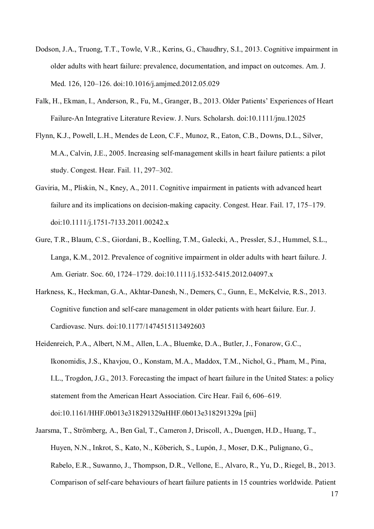- Dodson, J.A., Truong, T.T., Towle, V.R., Kerins, G., Chaudhry, S.I., 2013. Cognitive impairment in older adults with heart failure: prevalence, documentation, and impact on outcomes. Am. J. Med. 126, 120–126. doi:10.1016/j.amjmed.2012.05.029
- Falk, H., Ekman, I., Anderson, R., Fu, M., Granger, B., 2013. Older Patients' Experiences of Heart Failure-An Integrative Literature Review. J. Nurs. Scholarsh. doi:10.1111/jnu.12025
- Flynn, K.J., Powell, L.H., Mendes de Leon, C.F., Munoz, R., Eaton, C.B., Downs, D.L., Silver, M.A., Calvin, J.E., 2005. Increasing self-management skills in heart failure patients: a pilot study. Congest. Hear. Fail. 11, 297–302.
- Gaviria, M., Pliskin, N., Kney, A., 2011. Cognitive impairment in patients with advanced heart failure and its implications on decision-making capacity. Congest. Hear. Fail. 17, 175–179. doi:10.1111/j.1751-7133.2011.00242.x
- Gure, T.R., Blaum, C.S., Giordani, B., Koelling, T.M., Galecki, A., Pressler, S.J., Hummel, S.L., Langa, K.M., 2012. Prevalence of cognitive impairment in older adults with heart failure. J. Am. Geriatr. Soc. 60, 1724–1729. doi:10.1111/j.1532-5415.2012.04097.x
- Harkness, K., Heckman, G.A., Akhtar-Danesh, N., Demers, C., Gunn, E., McKelvie, R.S., 2013. Cognitive function and self-care management in older patients with heart failure. Eur. J. Cardiovasc. Nurs. doi:10.1177/1474515113492603
- Heidenreich, P.A., Albert, N.M., Allen, L.A., Bluemke, D.A., Butler, J., Fonarow, G.C., Ikonomidis, J.S., Khavjou, O., Konstam, M.A., Maddox, T.M., Nichol, G., Pham, M., Pina, I.L., Trogdon, J.G., 2013. Forecasting the impact of heart failure in the United States: a policy statement from the American Heart Association. Circ Hear. Fail 6, 606–619. doi:10.1161/HHF.0b013e318291329aHHF.0b013e318291329a [pii]
- Jaarsma, T., Strömberg, A., Ben Gal, T., Cameron J, Driscoll, A., Duengen, H.D., Huang, T., Huyen, N.N., Inkrot, S., Kato, N., Köberich, S., Lupón, J., Moser, D.K., Pulignano, G., Rabelo, E.R., Suwanno, J., Thompson, D.R., Vellone, E., Alvaro, R., Yu, D., Riegel, B., 2013. Comparison of self-care behaviours of heart failure patients in 15 countries worldwide. Patient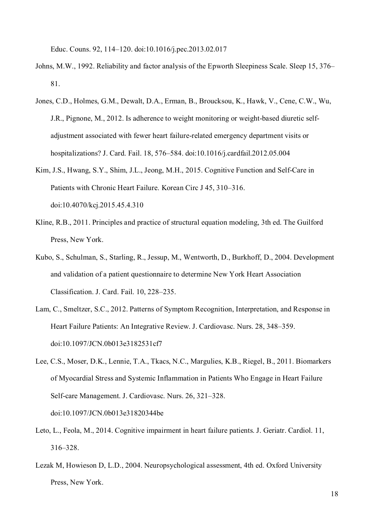Educ. Couns. 92, 114–120. doi:10.1016/j.pec.2013.02.017

- Johns, M.W., 1992. Reliability and factor analysis of the Epworth Sleepiness Scale. Sleep 15, 376– 81.
- Jones, C.D., Holmes, G.M., Dewalt, D.A., Erman, B., Broucksou, K., Hawk, V., Cene, C.W., Wu, J.R., Pignone, M., 2012. Is adherence to weight monitoring or weight-based diuretic selfadjustment associated with fewer heart failure-related emergency department visits or hospitalizations? J. Card. Fail. 18, 576–584. doi:10.1016/j.cardfail.2012.05.004
- Kim, J.S., Hwang, S.Y., Shim, J.L., Jeong, M.H., 2015. Cognitive Function and Self-Care in Patients with Chronic Heart Failure. Korean Circ J 45, 310–316. doi:10.4070/kcj.2015.45.4.310
- Kline, R.B., 2011. Principles and practice of structural equation modeling, 3th ed. The Guilford Press, New York.
- Kubo, S., Schulman, S., Starling, R., Jessup, M., Wentworth, D., Burkhoff, D., 2004. Development and validation of a patient questionnaire to determine New York Heart Association Classification. J. Card. Fail. 10, 228–235.
- Lam, C., Smeltzer, S.C., 2012. Patterns of Symptom Recognition, Interpretation, and Response in Heart Failure Patients: An Integrative Review. J. Cardiovasc. Nurs. 28, 348–359. doi:10.1097/JCN.0b013e3182531cf7
- Lee, C.S., Moser, D.K., Lennie, T.A., Tkacs, N.C., Margulies, K.B., Riegel, B., 2011. Biomarkers of Myocardial Stress and Systemic Inflammation in Patients Who Engage in Heart Failure Self-care Management. J. Cardiovasc. Nurs. 26, 321–328. doi:10.1097/JCN.0b013e31820344be
- Leto, L., Feola, M., 2014. Cognitive impairment in heart failure patients. J. Geriatr. Cardiol. 11, 316–328.
- Lezak M, Howieson D, L.D., 2004. Neuropsychological assessment, 4th ed. Oxford University Press, New York.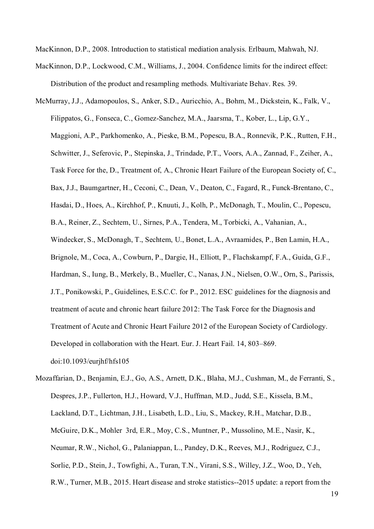MacKinnon, D.P., 2008. Introduction to statistical mediation analysis. Erlbaum, Mahwah, NJ.

- MacKinnon, D.P., Lockwood, C.M., Williams, J., 2004. Confidence limits for the indirect effect: Distribution of the product and resampling methods. Multivariate Behav. Res. 39.
- McMurray, J.J., Adamopoulos, S., Anker, S.D., Auricchio, A., Bohm, M., Dickstein, K., Falk, V., Filippatos, G., Fonseca, C., Gomez-Sanchez, M.A., Jaarsma, T., Kober, L., Lip, G.Y., Maggioni, A.P., Parkhomenko, A., Pieske, B.M., Popescu, B.A., Ronnevik, P.K., Rutten, F.H., Schwitter, J., Seferovic, P., Stepinska, J., Trindade, P.T., Voors, A.A., Zannad, F., Zeiher, A., Task Force for the, D., Treatment of, A., Chronic Heart Failure of the European Society of, C., Bax, J.J., Baumgartner, H., Ceconi, C., Dean, V., Deaton, C., Fagard, R., Funck-Brentano, C., Hasdai, D., Hoes, A., Kirchhof, P., Knuuti, J., Kolh, P., McDonagh, T., Moulin, C., Popescu, B.A., Reiner, Z., Sechtem, U., Sirnes, P.A., Tendera, M., Torbicki, A., Vahanian, A., Windecker, S., McDonagh, T., Sechtem, U., Bonet, L.A., Avraamides, P., Ben Lamin, H.A., Brignole, M., Coca, A., Cowburn, P., Dargie, H., Elliott, P., Flachskampf, F.A., Guida, G.F., Hardman, S., Iung, B., Merkely, B., Mueller, C., Nanas, J.N., Nielsen, O.W., Orn, S., Parissis, J.T., Ponikowski, P., Guidelines, E.S.C.C. for P., 2012. ESC guidelines for the diagnosis and treatment of acute and chronic heart failure 2012: The Task Force for the Diagnosis and Treatment of Acute and Chronic Heart Failure 2012 of the European Society of Cardiology. Developed in collaboration with the Heart. Eur. J. Heart Fail. 14, 803–869. doi:10.1093/eurjhf/hfs105
- Mozaffarian, D., Benjamin, E.J., Go, A.S., Arnett, D.K., Blaha, M.J., Cushman, M., de Ferranti, S., Despres, J.P., Fullerton, H.J., Howard, V.J., Huffman, M.D., Judd, S.E., Kissela, B.M., Lackland, D.T., Lichtman, J.H., Lisabeth, L.D., Liu, S., Mackey, R.H., Matchar, D.B., McGuire, D.K., Mohler 3rd, E.R., Moy, C.S., Muntner, P., Mussolino, M.E., Nasir, K., Neumar, R.W., Nichol, G., Palaniappan, L., Pandey, D.K., Reeves, M.J., Rodriguez, C.J., Sorlie, P.D., Stein, J., Towfighi, A., Turan, T.N., Virani, S.S., Willey, J.Z., Woo, D., Yeh, R.W., Turner, M.B., 2015. Heart disease and stroke statistics--2015 update: a report from the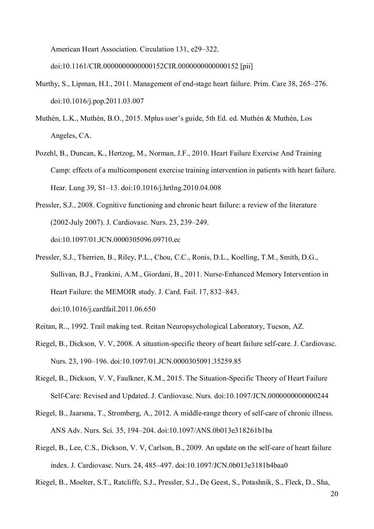American Heart Association. Circulation 131, e29–322.

doi:10.1161/CIR.0000000000000152CIR.0000000000000152 [pii]

- Murthy, S., Lipman, H.I., 2011. Management of end-stage heart failure. Prim. Care 38, 265–276. doi:10.1016/j.pop.2011.03.007
- Muthén, L.K., Muthén, B.O., 2015. Mplus user's guide, 5th Ed. ed. Muthén & Muthén, Los Angeles, CA.
- Pozehl, B., Duncan, K., Hertzog, M., Norman, J.F., 2010. Heart Failure Exercise And Training Camp: effects of a multicomponent exercise training intervention in patients with heart failure. Hear. Lung 39, S1–13. doi:10.1016/j.hrtlng.2010.04.008
- Pressler, S.J., 2008. Cognitive functioning and chronic heart failure: a review of the literature (2002-July 2007). J. Cardiovasc. Nurs. 23, 239–249. doi:10.1097/01.JCN.0000305096.09710.ec
- Pressler, S.J., Therrien, B., Riley, P.L., Chou, C.C., Ronis, D.L., Koelling, T.M., Smith, D.G., Sullivan, B.J., Frankini, A.M., Giordani, B., 2011. Nurse-Enhanced Memory Intervention in Heart Failure: the MEMOIR study. J. Card. Fail. 17, 832–843. doi:10.1016/j.cardfail.2011.06.650
- Reitan, R.., 1992. Trail making test. Reitan Neuropsychological Laboratory, Tucson, AZ.
- Riegel, B., Dickson, V. V, 2008. A situation-specific theory of heart failure self-care. J. Cardiovasc. Nurs. 23, 190–196. doi:10.1097/01.JCN.0000305091.35259.85
- Riegel, B., Dickson, V. V, Faulkner, K.M., 2015. The Situation-Specific Theory of Heart Failure Self-Care: Revised and Updated. J. Cardiovasc. Nurs. doi:10.1097/JCN.0000000000000244
- Riegel, B., Jaarsma, T., Stromberg, A., 2012. A middle-range theory of self-care of chronic illness. ANS Adv. Nurs. Sci. 35, 194–204. doi:10.1097/ANS.0b013e318261b1ba
- Riegel, B., Lee, C.S., Dickson, V. V, Carlson, B., 2009. An update on the self-care of heart failure index. J. Cardiovasc. Nurs. 24, 485–497. doi:10.1097/JCN.0b013e3181b4baa0

Riegel, B., Moelter, S.T., Ratcliffe, S.J., Pressler, S.J., De Geest, S., Potashnik, S., Fleck, D., Sha,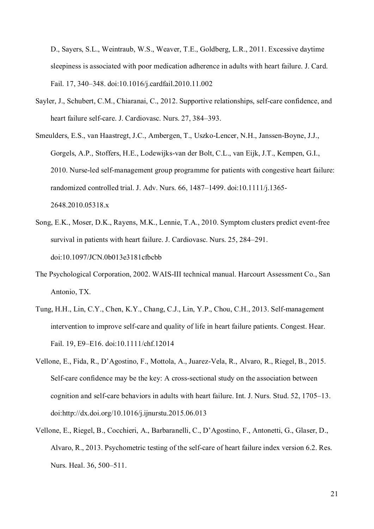D., Sayers, S.L., Weintraub, W.S., Weaver, T.E., Goldberg, L.R., 2011. Excessive daytime sleepiness is associated with poor medication adherence in adults with heart failure. J. Card. Fail. 17, 340–348. doi:10.1016/j.cardfail.2010.11.002

- Sayler, J., Schubert, C.M., Chiaranai, C., 2012. Supportive relationships, self-care confidence, and heart failure self-care. J. Cardiovasc. Nurs. 27, 384–393.
- Smeulders, E.S., van Haastregt, J.C., Ambergen, T., Uszko-Lencer, N.H., Janssen-Boyne, J.J., Gorgels, A.P., Stoffers, H.E., Lodewijks-van der Bolt, C.L., van Eijk, J.T., Kempen, G.I., 2010. Nurse-led self-management group programme for patients with congestive heart failure: randomized controlled trial. J. Adv. Nurs. 66, 1487–1499. doi:10.1111/j.1365- 2648.2010.05318.x
- Song, E.K., Moser, D.K., Rayens, M.K., Lennie, T.A., 2010. Symptom clusters predict event-free survival in patients with heart failure. J. Cardiovasc. Nurs. 25, 284–291. doi:10.1097/JCN.0b013e3181cfbcbb
- The Psychological Corporation, 2002. WAIS-III technical manual. Harcourt Assessment Co., San Antonio, TX.
- Tung, H.H., Lin, C.Y., Chen, K.Y., Chang, C.J., Lin, Y.P., Chou, C.H., 2013. Self-management intervention to improve self-care and quality of life in heart failure patients. Congest. Hear. Fail. 19, E9–E16. doi:10.1111/chf.12014
- Vellone, E., Fida, R., D'Agostino, F., Mottola, A., Juarez-Vela, R., Alvaro, R., Riegel, B., 2015. Self-care confidence may be the key: A cross-sectional study on the association between cognition and self-care behaviors in adults with heart failure. Int. J. Nurs. Stud. 52, 1705–13. doi:http://dx.doi.org/10.1016/j.ijnurstu.2015.06.013
- Vellone, E., Riegel, B., Cocchieri, A., Barbaranelli, C., D'Agostino, F., Antonetti, G., Glaser, D., Alvaro, R., 2013. Psychometric testing of the self-care of heart failure index version 6.2. Res. Nurs. Heal. 36, 500–511.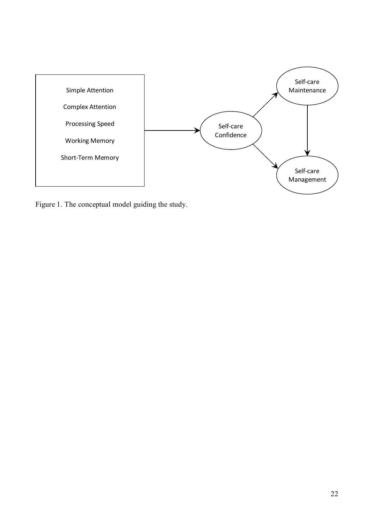

Figure 1. The conceptual model guiding the study.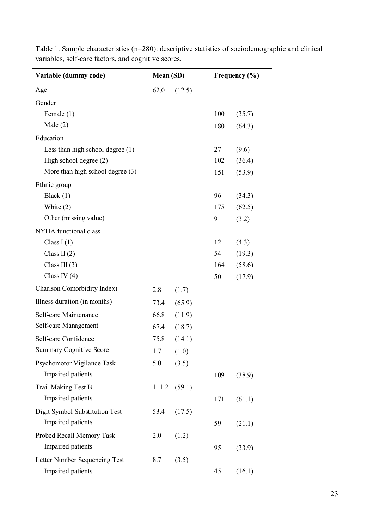| Variable (dummy code)              | Mean (SD) |        | Frequency $(\% )$ |        |
|------------------------------------|-----------|--------|-------------------|--------|
| Age                                | 62.0      | (12.5) |                   |        |
| Gender                             |           |        |                   |        |
| Female (1)                         |           |        | 100               | (35.7) |
| Male $(2)$                         |           |        | 180               | (64.3) |
| Education                          |           |        |                   |        |
| Less than high school degree $(1)$ |           |        | 27                | (9.6)  |
| High school degree $(2)$           |           |        | 102               | (36.4) |
| More than high school degree $(3)$ |           |        | 151               | (53.9) |
| Ethnic group                       |           |        |                   |        |
| Black (1)                          |           |        | 96                | (34.3) |
| White $(2)$                        |           |        | 175               | (62.5) |
| Other (missing value)              |           |        | 9                 | (3.2)  |
| NYHA functional class              |           |        |                   |        |
| Class $I(1)$                       |           |        | 12                | (4.3)  |
| Class II $(2)$                     |           |        | 54                | (19.3) |
| Class III $(3)$                    |           |        | 164               | (58.6) |
| Class IV $(4)$                     |           |        | 50                | (17.9) |
| Charlson Comorbidity Index)        | 2.8       | (1.7)  |                   |        |
| Illness duration (in months)       | 73.4      | (65.9) |                   |        |
| Self-care Maintenance              | 66.8      | (11.9) |                   |        |
| Self-care Management               | 67.4      | (18.7) |                   |        |
| Self-care Confidence               | 75.8      | (14.1) |                   |        |
| <b>Summary Cognitive Score</b>     | 1.7       | (1.0)  |                   |        |
| Psychomotor Vigilance Task         | 5.0       | (3.5)  |                   |        |
| Impaired patients                  |           |        | 109               | (38.9) |
| Trail Making Test B                | 111.2     | (59.1) |                   |        |
| Impaired patients                  |           |        | 171               | (61.1) |
| Digit Symbol Substitution Test     | 53.4      | (17.5) |                   |        |
| Impaired patients                  |           |        | 59                | (21.1) |
| Probed Recall Memory Task          | 2.0       | (1.2)  |                   |        |
| Impaired patients                  |           |        | 95                | (33.9) |
| Letter Number Sequencing Test      | 8.7       | (3.5)  |                   |        |
| Impaired patients                  |           |        | 45                | (16.1) |

Table 1. Sample characteristics (n=280): descriptive statistics of sociodemographic and clinical variables, self-care factors, and cognitive scores.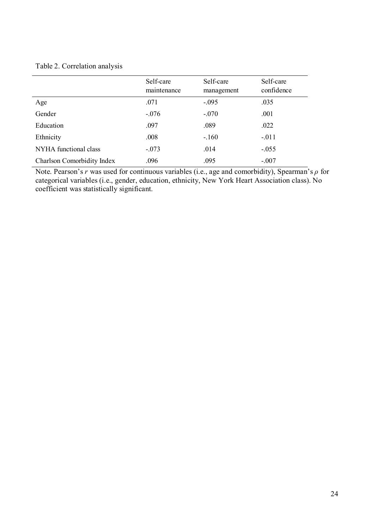| Table 2. Correlation analysis |  |  |
|-------------------------------|--|--|
|-------------------------------|--|--|

|                            | Self-care<br>maintenance | Self-care<br>management | Self-care<br>confidence |
|----------------------------|--------------------------|-------------------------|-------------------------|
| Age                        | .071                     | $-.095$                 | .035                    |
| Gender                     | $-.076$                  | $-.070$                 | .001                    |
| Education                  | .097                     | .089                    | .022                    |
| Ethnicity                  | .008                     | $-.160$                 | $-.011$                 |
| NYHA functional class      | $-.073$                  | .014                    | $-.055$                 |
| Charlson Comorbidity Index | .096                     | .095                    | $-.007$                 |

Note. Pearson's *r* was used for continuous variables (i.e., age and comorbidity), Spearman's *ρ* for categorical variables (i.e., gender, education, ethnicity, New York Heart Association class). No coefficient was statistically significant.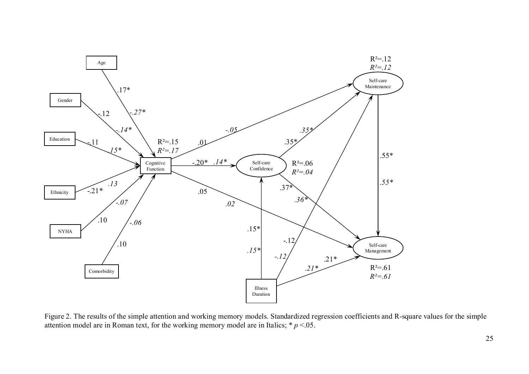

Figure 2. The results of the simple attention and working memory models. Standardized regression coefficients and R-square values for the simple attention model are in Roman text, for the working memory model are in Italics;  $* p < 0.05$ .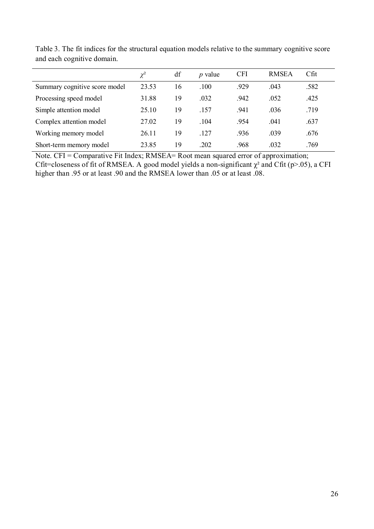|                               | $\chi^2$ | df | <i>p</i> value | <b>CFI</b> | <b>RMSEA</b> | $C$ fit |
|-------------------------------|----------|----|----------------|------------|--------------|---------|
| Summary cognitive score model | 23.53    | 16 | .100           | .929       | .043         | .582    |
| Processing speed model        | 31.88    | 19 | .032           | .942       | .052         | .425    |
| Simple attention model        | 25.10    | 19 | .157           | .941       | .036         | .719    |
| Complex attention model       | 27.02    | 19 | .104           | .954       | .041         | .637    |
| Working memory model          | 26.11    | 19 | .127           | .936       | .039         | .676    |
| Short-term memory model       | 23.85    | 19 | .202           | .968       | .032         | .769    |

Table 3. The fit indices for the structural equation models relative to the summary cognitive score and each cognitive domain.

Note. CFI = Comparative Fit Index; RMSEA= Root mean squared error of approximation; Cfit=closeness of fit of RMSEA. A good model yields a non-significant  $\chi^2$  and Cfit (p>.05), a CFI higher than .95 or at least .90 and the RMSEA lower than .05 or at least .08.